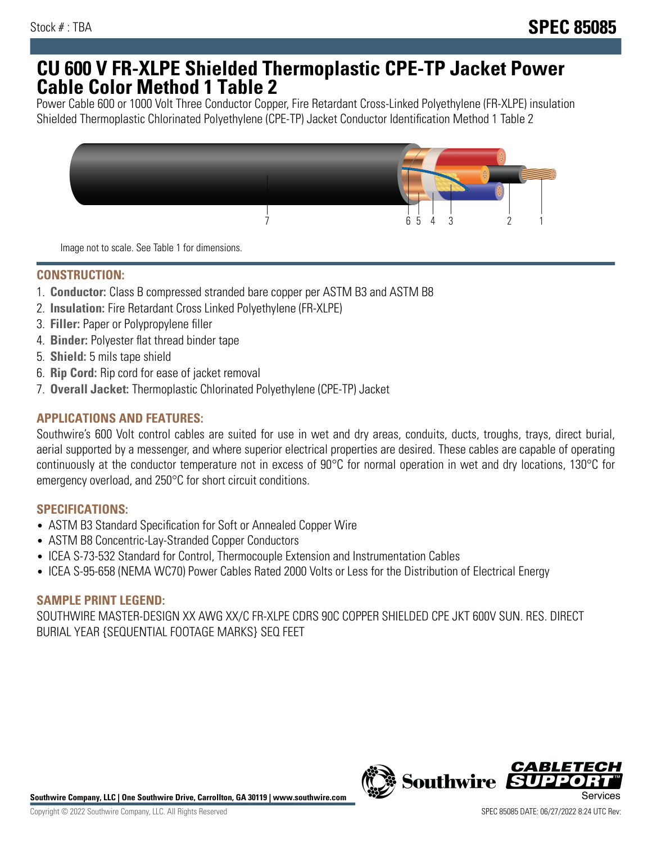## **CU 600 V FR-XLPE Shielded Thermoplastic CPE-TP Jacket Power Cable Color Method 1 Table 2**

Power Cable 600 or 1000 Volt Three Conductor Copper, Fire Retardant Cross-Linked Polyethylene (FR-XLPE) insulation Shielded Thermoplastic Chlorinated Polyethylene (CPE-TP) Jacket Conductor Identification Method 1 Table 2



Image not to scale. See Table 1 for dimensions.

## **CONSTRUCTION:**

- 1. **Conductor:** Class B compressed stranded bare copper per ASTM B3 and ASTM B8
- 2. **Insulation:** Fire Retardant Cross Linked Polyethylene (FR-XLPE)
- 3. **Filler:** Paper or Polypropylene filler
- 4. **Binder:** Polyester flat thread binder tape
- 5. **Shield:** 5 mils tape shield
- 6. **Rip Cord:** Rip cord for ease of jacket removal
- 7. **Overall Jacket:** Thermoplastic Chlorinated Polyethylene (CPE-TP) Jacket

### **APPLICATIONS AND FEATURES:**

Southwire's 600 Volt control cables are suited for use in wet and dry areas, conduits, ducts, troughs, trays, direct burial, aerial supported by a messenger, and where superior electrical properties are desired. These cables are capable of operating continuously at the conductor temperature not in excess of 90°C for normal operation in wet and dry locations, 130°C for emergency overload, and 250°C for short circuit conditions.

#### **SPECIFICATIONS:**

- ASTM B3 Standard Specification for Soft or Annealed Copper Wire
- ASTM B8 Concentric-Lay-Stranded Copper Conductors
- ICEA S-73-532 Standard for Control, Thermocouple Extension and Instrumentation Cables
- ICEA S-95-658 (NEMA WC70) Power Cables Rated 2000 Volts or Less for the Distribution of Electrical Energy

#### **SAMPLE PRINT LEGEND:**

SOUTHWIRE MASTER-DESIGN XX AWG XX/C FR-XLPE CDRS 90C COPPER SHIELDED CPE JKT 600V SUN. RES. DIRECT BURIAL YEAR {SEQUENTIAL FOOTAGE MARKS} SEQ FEET